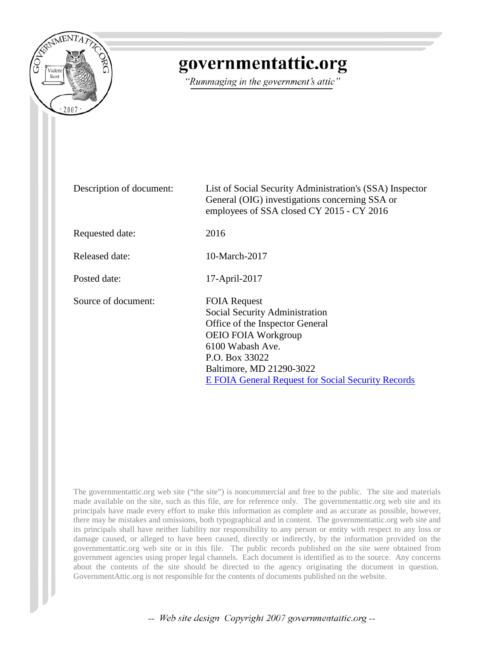

## governmentattic.org

"Rummaging in the government's attic"

Description of document: List of Social Security Administration's (SSA) Inspector General (OIG) investigations concerning SSA or employees of SSA closed CY 2015 - CY 2016 Requested date: 2016 Released date: 10-March-2017 Posted date: 17-April-2017 Source of document: FOIA Request Social Security Administration Office of the Inspector General OEIO FOIA Workgroup 6100 Wabash Ave. P.O. Box 33022 Baltimore, MD 21290-3022 [E FOIA General Request for Social Security Records](https://secure.ssa.gov/apps9/eFOIA-FEWeb/internet/main.jsp?action=OPD)

The governmentattic.org web site ("the site") is noncommercial and free to the public. The site and materials made available on the site, such as this file, are for reference only. The governmentattic.org web site and its principals have made every effort to make this information as complete and as accurate as possible, however, there may be mistakes and omissions, both typographical and in content. The governmentattic.org web site and its principals shall have neither liability nor responsibility to any person or entity with respect to any loss or damage caused, or alleged to have been caused, directly or indirectly, by the information provided on the governmentattic.org web site or in this file. The public records published on the site were obtained from government agencies using proper legal channels. Each document is identified as to the source. Any concerns about the contents of the site should be directed to the agency originating the document in question. GovernmentAttic.org is not responsible for the contents of documents published on the website.

-- Web site design Copyright 2007 governmentattic.org --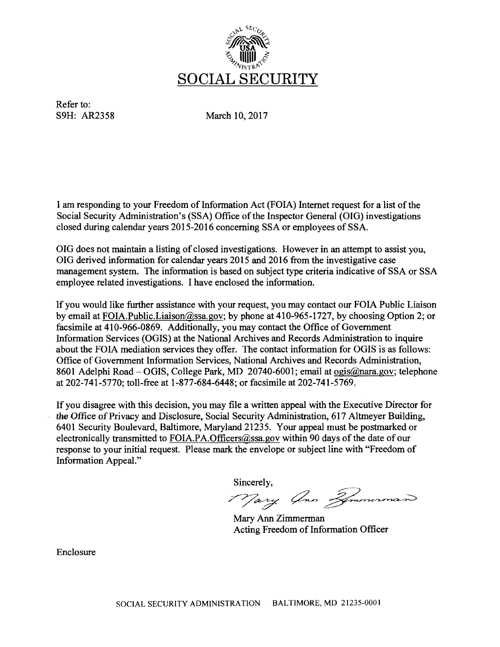

Refer to:

S9H: AR2358 March 10, 2017

I am responding to your Freedom of Information Act (FOIA) Internet request for a list of the Social Security Administration's (SSA) Office of the Inspector General (OIG) investigations closed during calendar years 2015-2016 concerning SSA or employees of SSA.

OIG does not maintain a listing of closed investigations. However in an attempt to assist you, OIG derived information for calendar years 2015 and 2016 from the investigative case management system. The information is based on subject type criteria indicative of SSA or SSA employee related investigations. I have enclosed the information.

If you would like further assistance with your request, you may contact our FOIA Public Liaison by email at FOIA.Public.Liaison@ssa.gov; by phone at 410-965-1727, by choosing Option 2; or facsimile at 410-966-0869. Additionally, you may contact the Office of Government Information Services (OGIS) at the National Archives and Records Administration to inquire about the FOIA mediation services they offer. The contact information for OGIS is as follows: Office of Government Information Services, National Archives and Records Administration, 8601 Adelphi Road- OGIS, College Park, MD 20740-6001; email at ogis@nara.gov; telephone at 202-741-5770; toll-free at 1-877-684-6448; or facsimile at 202-741-5769.

If you disagree with this decision, you may file a written appeal with the Executive Director for the Office of Privacy and Disclosure, Social Security Administration, 617 Altmeyer Building, 6401 Security Boulevard, Baltimore, Maryland 21235. Your appeal must be postmarked or electronically transmitted to FOIA.PA.Officers@ssa.gov within 90 days of the date of our response to your initial request. Please mark the envelope or subject line with "Freedom of Information Appeal."

Sincerely,

77 ary Ann Zemmerman

Mary Ann Zimmerman Acting Freedom of Information Officer

Enclosure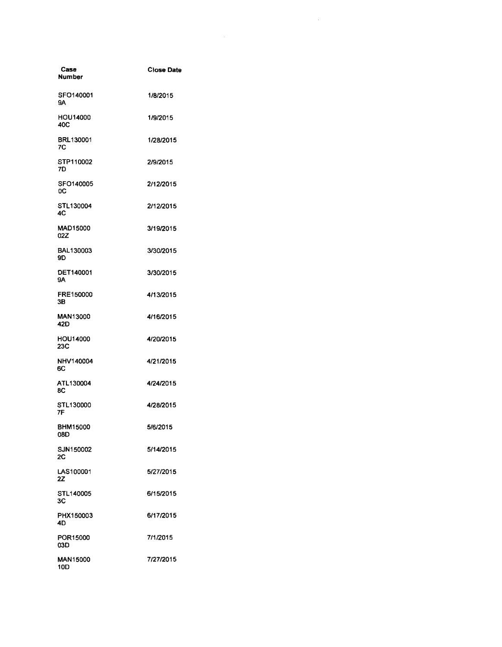| Case<br><b>Number</b>  | <b>Close Date</b> |
|------------------------|-------------------|
| SFO140001<br>9Α        | 1/8/2015          |
| HOU14000<br>40C        | 1/9/2015          |
| BRL130001<br>7C        | 1/28/2015         |
| STP110002<br>7D        | 2/9/2015          |
| SFO140005<br>0C        | 2/12/2015         |
| STL130004<br>4C        | 2/12/2015         |
| MAD15000<br>02Z        | 3/19/2015         |
| BAL130003<br>9D.       | 3/30/2015         |
| <b>DET140001</b><br>9А | 3/30/2015         |
| FRE150000<br>3В        | 4/13/2015         |
| MAN13000<br>42D        | 4/16/2015         |
| HOU14000<br>23C        | 4/20/2015         |
| NHV140004<br>6C        | 4/21/2015         |
| ATL130004<br>8С        | 4/24/2015         |
| STL130000<br>7F        | 4/28/2015         |
| <b>BHM15000</b><br>08D | 5/6/2015          |
| SJN150002<br>2C        | 5/14/2015         |
| LAS100001<br>2Z        | 5/27/2015         |
| STL140005<br>ЗC        | 6/15/2015         |
| PHX150003<br>4D        | 6/17/2015         |
| POR15000<br>03D        | 7/1/2015          |
| <b>MAN15000</b><br>10D | 7/27/2015         |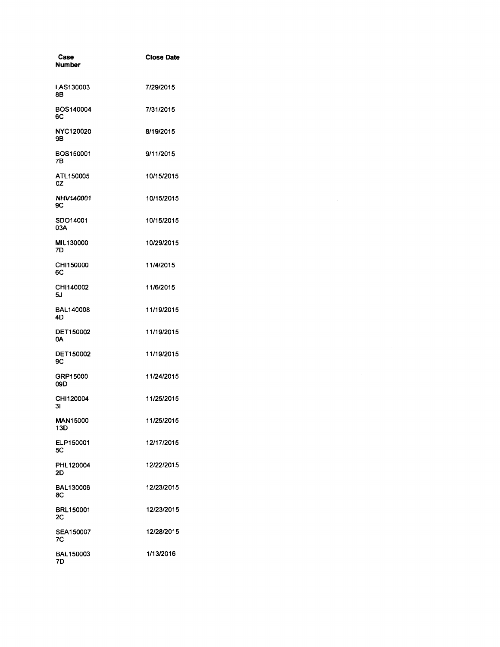| Case<br>Number                      | <b>Close Date</b> |  |  |
|-------------------------------------|-------------------|--|--|
| LAS130003<br>8Β                     | 7/29/2015         |  |  |
| BOS140004<br>6C                     | 7/31/2015         |  |  |
| NYC120020<br>9Β                     | 8/19/2015         |  |  |
| BOS150001<br>7В                     | 9/11/2015         |  |  |
| ATL150005<br>0Z                     | 10/15/2015        |  |  |
| NHV140001<br>9C                     | 10/15/2015        |  |  |
| SDO14001<br>03A                     | 10/15/2015        |  |  |
| MIL130000<br>7D                     | 10/29/2015        |  |  |
| CHI150000<br>6C                     | 11/4/2015         |  |  |
| CHI140002<br>5J                     | 11/6/2015         |  |  |
| <b>BAL140008</b><br>4D              | 11/19/2015        |  |  |
| DET150002<br>0A                     | 11/19/2015        |  |  |
| DET150002<br><b>9C</b>              | 11/19/2015        |  |  |
| GRP15000<br>09D                     | 11/24/2015        |  |  |
| CHI120004<br>3 <sub>l</sub>         | 11/25/2015        |  |  |
| <b>MAN15000</b><br>13D<br>ELP150001 | 11/25/2015        |  |  |
| 5C                                  | 12/17/2015        |  |  |
| PHL120004<br>2D                     | 12/22/2015        |  |  |
| BAL130006<br>8C                     | 12/23/2015        |  |  |
| <b>BRL150001</b><br>2C              | 12/23/2015        |  |  |
| SEA150007<br>7C                     | 12/28/2015        |  |  |
| BAL150003<br>7D                     | 1/13/2016         |  |  |